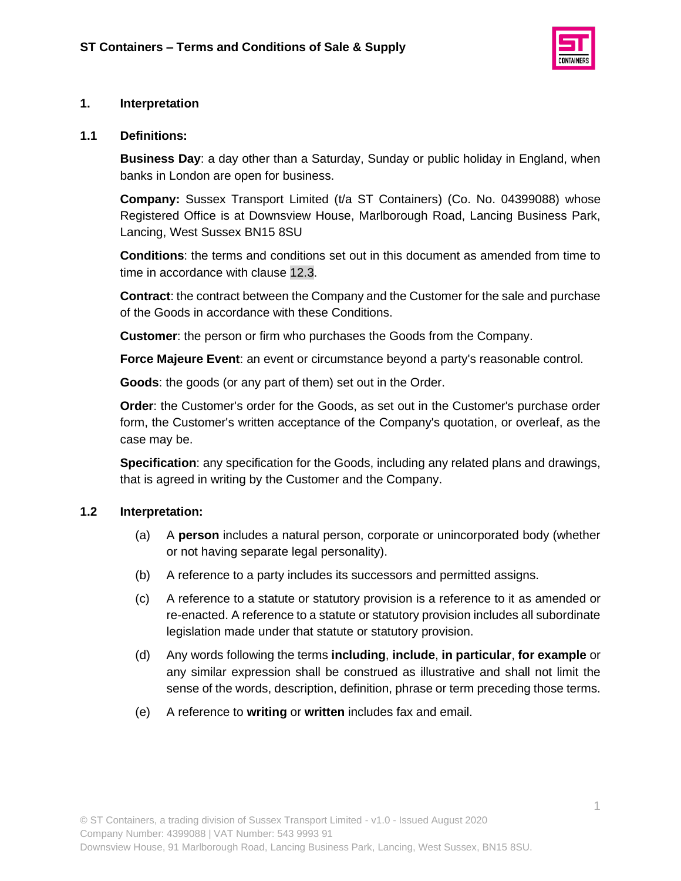

### **1. Interpretation**

#### **1.1 Definitions:**

**Business Day**: a day other than a Saturday, Sunday or public holiday in England, when banks in London are open for business.

**Company:** Sussex Transport Limited (t/a ST Containers) (Co. No. 04399088) whose Registered Office is at Downsview House, Marlborough Road, Lancing Business Park, Lancing, West Sussex BN15 8SU

**Conditions**: the terms and conditions set out in this document as amended from time to time in accordance with clause [12.3.](#page-8-0)

**Contract**: the contract between the Company and the Customer for the sale and purchase of the Goods in accordance with these Conditions.

**Customer**: the person or firm who purchases the Goods from the Company.

**Force Majeure Event**: an event or circumstance beyond a party's reasonable control.

**Goods**: the goods (or any part of them) set out in the Order.

**Order**: the Customer's order for the Goods, as set out in the Customer's purchase order form, the Customer's written acceptance of the Company's quotation, or overleaf, as the case may be.

**Specification**: any specification for the Goods, including any related plans and drawings, that is agreed in writing by the Customer and the Company.

### **1.2 Interpretation:**

- (a) A **person** includes a natural person, corporate or unincorporated body (whether or not having separate legal personality).
- (b) A reference to a party includes its successors and permitted assigns.
- (c) A reference to a statute or statutory provision is a reference to it as amended or re-enacted. A reference to a statute or statutory provision includes all subordinate legislation made under that statute or statutory provision.
- (d) Any words following the terms **including**, **include**, **in particular**, **for example** or any similar expression shall be construed as illustrative and shall not limit the sense of the words, description, definition, phrase or term preceding those terms.
- (e) A reference to **writing** or **written** includes fax and email.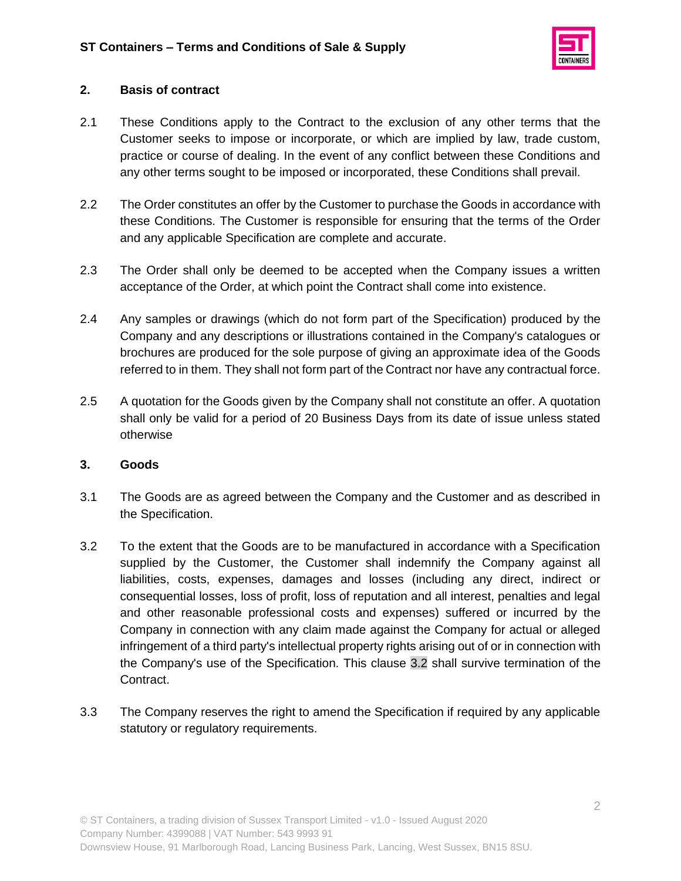

# **2. Basis of contract**

- 2.1 These Conditions apply to the Contract to the exclusion of any other terms that the Customer seeks to impose or incorporate, or which are implied by law, trade custom, practice or course of dealing. In the event of any conflict between these Conditions and any other terms sought to be imposed or incorporated, these Conditions shall prevail.
- 2.2 The Order constitutes an offer by the Customer to purchase the Goods in accordance with these Conditions. The Customer is responsible for ensuring that the terms of the Order and any applicable Specification are complete and accurate.
- 2.3 The Order shall only be deemed to be accepted when the Company issues a written acceptance of the Order, at which point the Contract shall come into existence.
- 2.4 Any samples or drawings (which do not form part of the Specification) produced by the Company and any descriptions or illustrations contained in the Company's catalogues or brochures are produced for the sole purpose of giving an approximate idea of the Goods referred to in them. They shall not form part of the Contract nor have any contractual force.
- 2.5 A quotation for the Goods given by the Company shall not constitute an offer. A quotation shall only be valid for a period of 20 Business Days from its date of issue unless stated otherwise

### **3. Goods**

- 3.1 The Goods are as agreed between the Company and the Customer and as described in the Specification.
- <span id="page-1-0"></span>3.2 To the extent that the Goods are to be manufactured in accordance with a Specification supplied by the Customer, the Customer shall indemnify the Company against all liabilities, costs, expenses, damages and losses (including any direct, indirect or consequential losses, loss of profit, loss of reputation and all interest, penalties and legal and other reasonable professional costs and expenses) suffered or incurred by the Company in connection with any claim made against the Company for actual or alleged infringement of a third party's intellectual property rights arising out of or in connection with the Company's use of the Specification. This clause [3.2](#page-1-0) shall survive termination of the Contract.
- 3.3 The Company reserves the right to amend the Specification if required by any applicable statutory or regulatory requirements.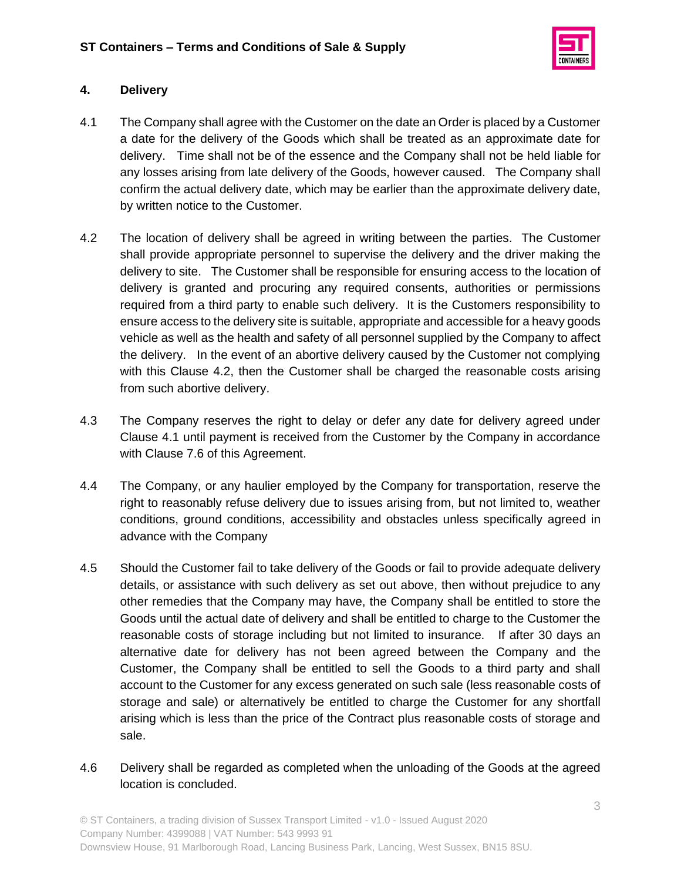

# **4. Delivery**

- 4.1 The Company shall agree with the Customer on the date an Order is placed by a Customer a date for the delivery of the Goods which shall be treated as an approximate date for delivery. Time shall not be of the essence and the Company shall not be held liable for any losses arising from late delivery of the Goods, however caused. The Company shall confirm the actual delivery date, which may be earlier than the approximate delivery date, by written notice to the Customer.
- 4.2 The location of delivery shall be agreed in writing between the parties. The Customer shall provide appropriate personnel to supervise the delivery and the driver making the delivery to site. The Customer shall be responsible for ensuring access to the location of delivery is granted and procuring any required consents, authorities or permissions required from a third party to enable such delivery. It is the Customers responsibility to ensure access to the delivery site is suitable, appropriate and accessible for a heavy goods vehicle as well as the health and safety of all personnel supplied by the Company to affect the delivery. In the event of an abortive delivery caused by the Customer not complying with this Clause 4.2, then the Customer shall be charged the reasonable costs arising from such abortive delivery.
- 4.3 The Company reserves the right to delay or defer any date for delivery agreed under Clause 4.1 until payment is received from the Customer by the Company in accordance with Clause 7.6 of this Agreement.
- 4.4 The Company, or any haulier employed by the Company for transportation, reserve the right to reasonably refuse delivery due to issues arising from, but not limited to, weather conditions, ground conditions, accessibility and obstacles unless specifically agreed in advance with the Company
- 4.5 Should the Customer fail to take delivery of the Goods or fail to provide adequate delivery details, or assistance with such delivery as set out above, then without prejudice to any other remedies that the Company may have, the Company shall be entitled to store the Goods until the actual date of delivery and shall be entitled to charge to the Customer the reasonable costs of storage including but not limited to insurance. If after 30 days an alternative date for delivery has not been agreed between the Company and the Customer, the Company shall be entitled to sell the Goods to a third party and shall account to the Customer for any excess generated on such sale (less reasonable costs of storage and sale) or alternatively be entitled to charge the Customer for any shortfall arising which is less than the price of the Contract plus reasonable costs of storage and sale.
- 4.6 Delivery shall be regarded as completed when the unloading of the Goods at the agreed location is concluded.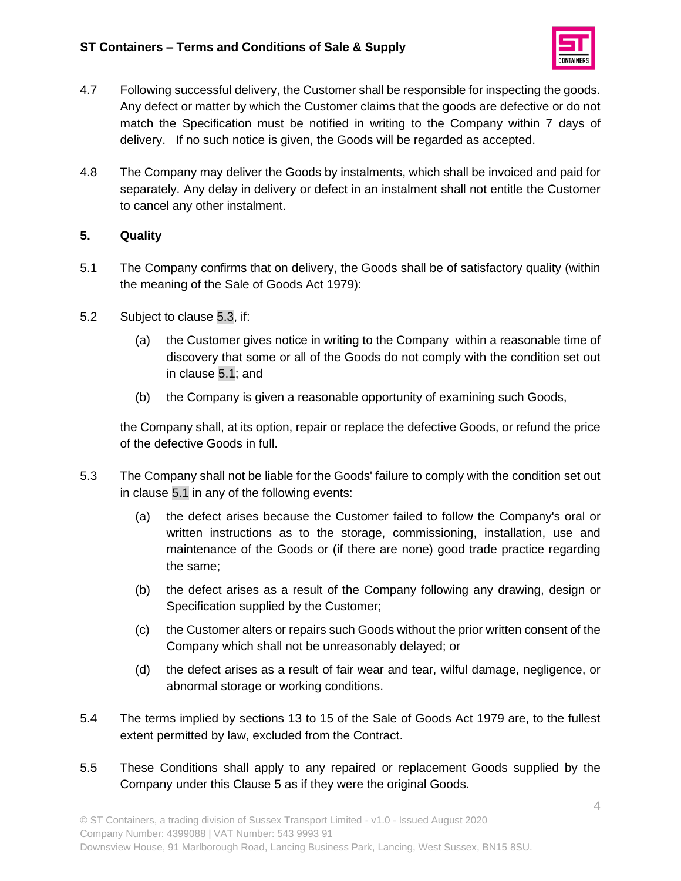

- 4.7 Following successful delivery, the Customer shall be responsible for inspecting the goods. Any defect or matter by which the Customer claims that the goods are defective or do not match the Specification must be notified in writing to the Company within 7 days of delivery. If no such notice is given, the Goods will be regarded as accepted.
- 4.8 The Company may deliver the Goods by instalments, which shall be invoiced and paid for separately. Any delay in delivery or defect in an instalment shall not entitle the Customer to cancel any other instalment.

# **5. Quality**

- <span id="page-3-1"></span>5.1 The Company confirms that on delivery, the Goods shall be of satisfactory quality (within the meaning of the Sale of Goods Act 1979):
- 5.2 Subject to clause [5.3,](#page-3-0) if:
	- (a) the Customer gives notice in writing to the Company within a reasonable time of discovery that some or all of the Goods do not comply with the condition set out in clause [5.1;](#page-3-1) and
	- (b) the Company is given a reasonable opportunity of examining such Goods,

the Company shall, at its option, repair or replace the defective Goods, or refund the price of the defective Goods in full.

- <span id="page-3-0"></span>5.3 The Company shall not be liable for the Goods' failure to comply with the condition set out in clause [5.1](#page-3-1) in any of the following events:
	- (a) the defect arises because the Customer failed to follow the Company's oral or written instructions as to the storage, commissioning, installation, use and maintenance of the Goods or (if there are none) good trade practice regarding the same;
	- (b) the defect arises as a result of the Company following any drawing, design or Specification supplied by the Customer;
	- (c) the Customer alters or repairs such Goods without the prior written consent of the Company which shall not be unreasonably delayed; or
	- (d) the defect arises as a result of fair wear and tear, wilful damage, negligence, or abnormal storage or working conditions.
- 5.4 The terms implied by sections 13 to 15 of the Sale of Goods Act 1979 are, to the fullest extent permitted by law, excluded from the Contract.
- 5.5 These Conditions shall apply to any repaired or replacement Goods supplied by the Company under this Clause 5 as if they were the original Goods.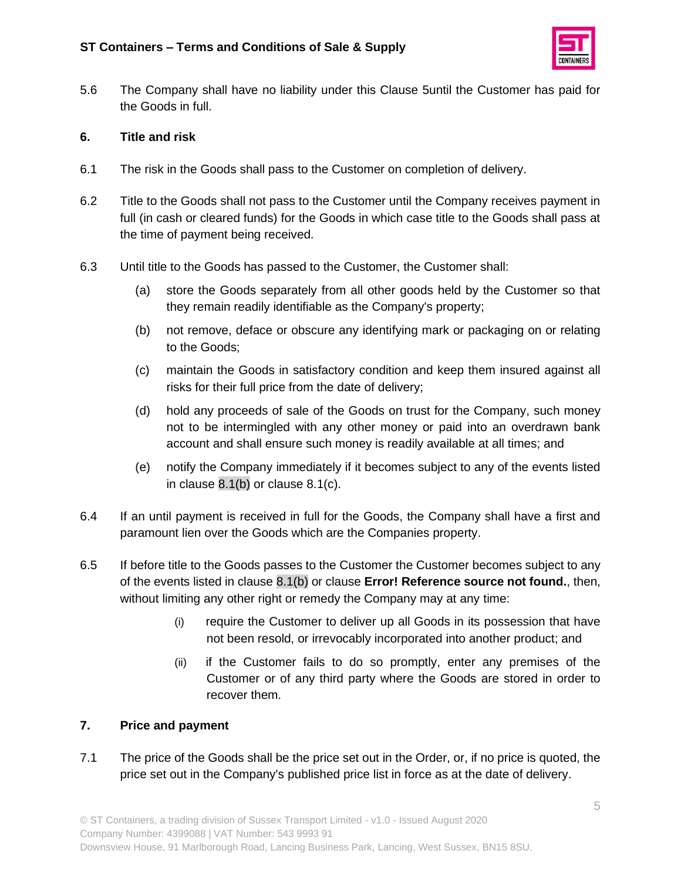

5.6 The Company shall have no liability under this Clause 5until the Customer has paid for the Goods in full.

# **6. Title and risk**

- 6.1 The risk in the Goods shall pass to the Customer on completion of delivery.
- 6.2 Title to the Goods shall not pass to the Customer until the Company receives payment in full (in cash or cleared funds) for the Goods in which case title to the Goods shall pass at the time of payment being received.
- 6.3 Until title to the Goods has passed to the Customer, the Customer shall:
	- (a) store the Goods separately from all other goods held by the Customer so that they remain readily identifiable as the Company's property;
	- (b) not remove, deface or obscure any identifying mark or packaging on or relating to the Goods;
	- (c) maintain the Goods in satisfactory condition and keep them insured against all risks for their full price from the date of delivery;
	- (d) hold any proceeds of sale of the Goods on trust for the Company, such money not to be intermingled with any other money or paid into an overdrawn bank account and shall ensure such money is readily available at all times; and
	- (e) notify the Company immediately if it becomes subject to any of the events listed in clause [8.1\(b\)](#page-6-0) or clause 8.1(c).
- 6.4 If an until payment is received in full for the Goods, the Company shall have a first and paramount lien over the Goods which are the Companies property.
- 6.5 If before title to the Goods passes to the Customer the Customer becomes subject to any of the events listed in clause [8.1\(b\)](#page-6-0) or clause **Error! Reference source not found.**, then, without limiting any other right or remedy the Company may at any time:
	- (i) require the Customer to deliver up all Goods in its possession that have not been resold, or irrevocably incorporated into another product; and
	- (ii) if the Customer fails to do so promptly, enter any premises of the Customer or of any third party where the Goods are stored in order to recover them.

# **7. Price and payment**

7.1 The price of the Goods shall be the price set out in the Order, or, if no price is quoted, the price set out in the Company's published price list in force as at the date of delivery.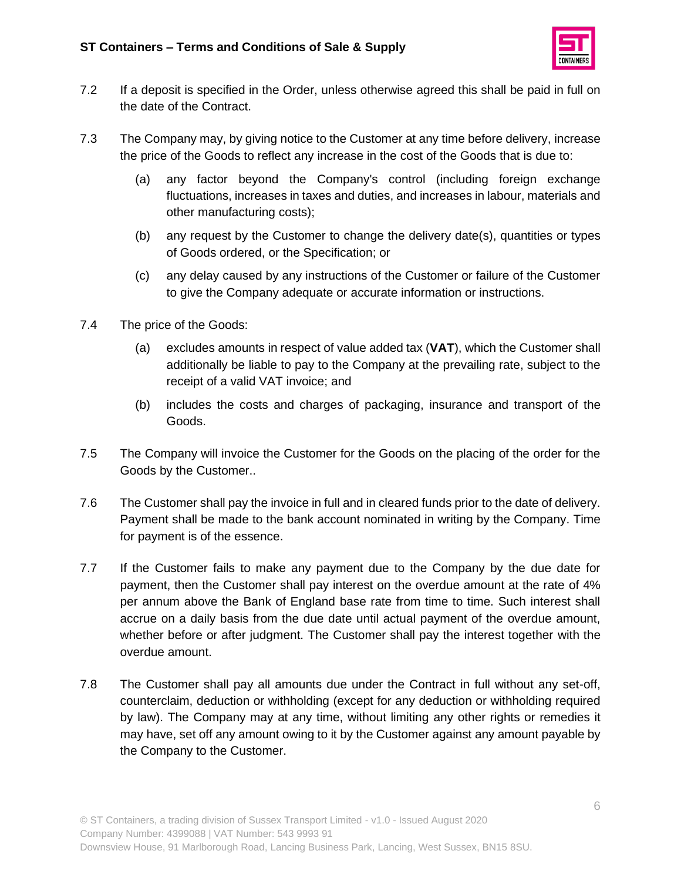

- 7.2 If a deposit is specified in the Order, unless otherwise agreed this shall be paid in full on the date of the Contract.
- 7.3 The Company may, by giving notice to the Customer at any time before delivery, increase the price of the Goods to reflect any increase in the cost of the Goods that is due to:
	- (a) any factor beyond the Company's control (including foreign exchange fluctuations, increases in taxes and duties, and increases in labour, materials and other manufacturing costs);
	- (b) any request by the Customer to change the delivery date(s), quantities or types of Goods ordered, or the Specification; or
	- (c) any delay caused by any instructions of the Customer or failure of the Customer to give the Company adequate or accurate information or instructions.
- 7.4 The price of the Goods:
	- (a) excludes amounts in respect of value added tax (**VAT**), which the Customer shall additionally be liable to pay to the Company at the prevailing rate, subject to the receipt of a valid VAT invoice; and
	- (b) includes the costs and charges of packaging, insurance and transport of the Goods.
- 7.5 The Company will invoice the Customer for the Goods on the placing of the order for the Goods by the Customer..
- 7.6 The Customer shall pay the invoice in full and in cleared funds prior to the date of delivery. Payment shall be made to the bank account nominated in writing by the Company. Time for payment is of the essence.
- 7.7 If the Customer fails to make any payment due to the Company by the due date for payment, then the Customer shall pay interest on the overdue amount at the rate of 4% per annum above the Bank of England base rate from time to time. Such interest shall accrue on a daily basis from the due date until actual payment of the overdue amount, whether before or after judgment. The Customer shall pay the interest together with the overdue amount.
- 7.8 The Customer shall pay all amounts due under the Contract in full without any set-off, counterclaim, deduction or withholding (except for any deduction or withholding required by law). The Company may at any time, without limiting any other rights or remedies it may have, set off any amount owing to it by the Customer against any amount payable by the Company to the Customer.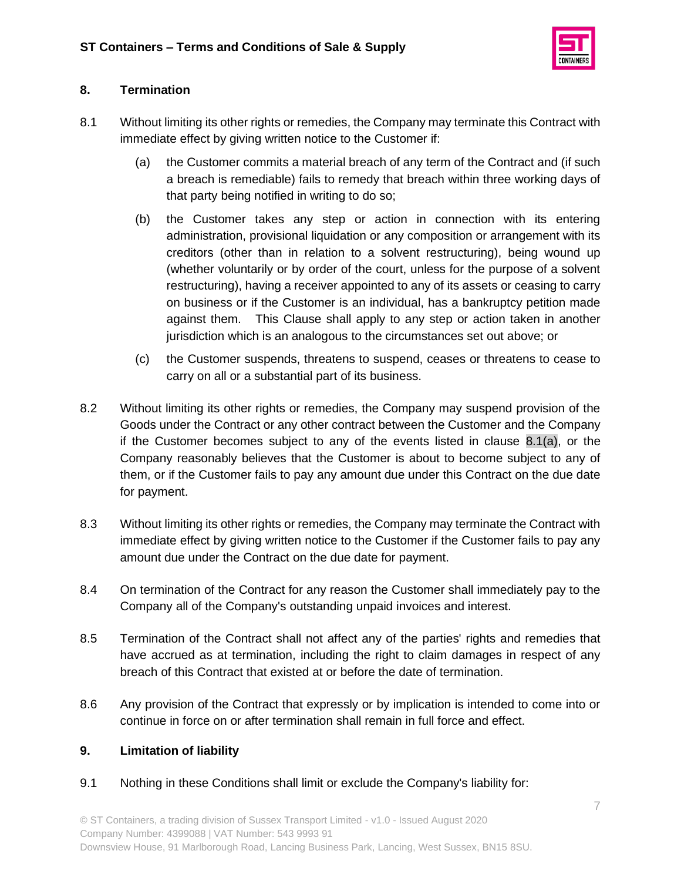

# **8. Termination**

- <span id="page-6-1"></span><span id="page-6-0"></span>8.1 Without limiting its other rights or remedies, the Company may terminate this Contract with immediate effect by giving written notice to the Customer if:
	- (a) the Customer commits a material breach of any term of the Contract and (if such a breach is remediable) fails to remedy that breach within three working days of that party being notified in writing to do so;
	- (b) the Customer takes any step or action in connection with its entering administration, provisional liquidation or any composition or arrangement with its creditors (other than in relation to a solvent restructuring), being wound up (whether voluntarily or by order of the court, unless for the purpose of a solvent restructuring), having a receiver appointed to any of its assets or ceasing to carry on business or if the Customer is an individual, has a bankruptcy petition made against them. This Clause shall apply to any step or action taken in another jurisdiction which is an analogous to the circumstances set out above; or
	- (c) the Customer suspends, threatens to suspend, ceases or threatens to cease to carry on all or a substantial part of its business.
- 8.2 Without limiting its other rights or remedies, the Company may suspend provision of the Goods under the Contract or any other contract between the Customer and the Company if the Customer becomes subject to any of the events listed in clause [8.1\(a\),](#page-6-1) or the Company reasonably believes that the Customer is about to become subject to any of them, or if the Customer fails to pay any amount due under this Contract on the due date for payment.
- 8.3 Without limiting its other rights or remedies, the Company may terminate the Contract with immediate effect by giving written notice to the Customer if the Customer fails to pay any amount due under the Contract on the due date for payment.
- 8.4 On termination of the Contract for any reason the Customer shall immediately pay to the Company all of the Company's outstanding unpaid invoices and interest.
- 8.5 Termination of the Contract shall not affect any of the parties' rights and remedies that have accrued as at termination, including the right to claim damages in respect of any breach of this Contract that existed at or before the date of termination.
- 8.6 Any provision of the Contract that expressly or by implication is intended to come into or continue in force on or after termination shall remain in full force and effect.

# **9. Limitation of liability**

<span id="page-6-2"></span>9.1 Nothing in these Conditions shall limit or exclude the Company's liability for: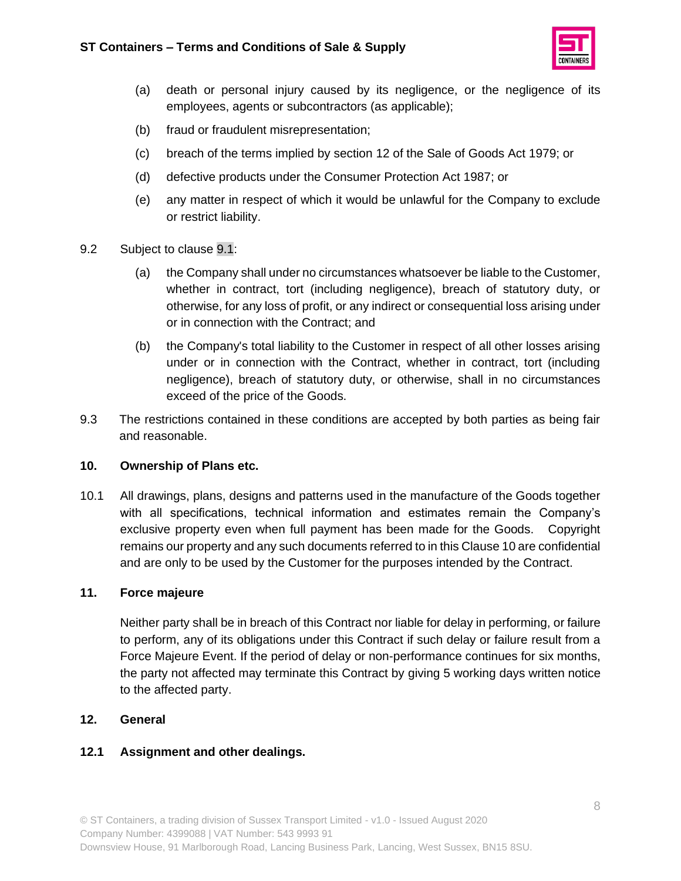

- (a) death or personal injury caused by its negligence, or the negligence of its employees, agents or subcontractors (as applicable);
- (b) fraud or fraudulent misrepresentation;
- (c) breach of the terms implied by section 12 of the Sale of Goods Act 1979; or
- (d) defective products under the Consumer Protection Act 1987; or
- (e) any matter in respect of which it would be unlawful for the Company to exclude or restrict liability.
- 9.2 Subject to clause [9.1:](#page-6-2)
	- (a) the Company shall under no circumstances whatsoever be liable to the Customer, whether in contract, tort (including negligence), breach of statutory duty, or otherwise, for any loss of profit, or any indirect or consequential loss arising under or in connection with the Contract; and
	- (b) the Company's total liability to the Customer in respect of all other losses arising under or in connection with the Contract, whether in contract, tort (including negligence), breach of statutory duty, or otherwise, shall in no circumstances exceed of the price of the Goods.
- 9.3 The restrictions contained in these conditions are accepted by both parties as being fair and reasonable.

### **10. Ownership of Plans etc.**

10.1 All drawings, plans, designs and patterns used in the manufacture of the Goods together with all specifications, technical information and estimates remain the Company's exclusive property even when full payment has been made for the Goods. Copyright remains our property and any such documents referred to in this Clause 10 are confidential and are only to be used by the Customer for the purposes intended by the Contract.

### **11. Force majeure**

Neither party shall be in breach of this Contract nor liable for delay in performing, or failure to perform, any of its obligations under this Contract if such delay or failure result from a Force Majeure Event. If the period of delay or non-performance continues for six months, the party not affected may terminate this Contract by giving 5 working days written notice to the affected party.

### **12. General**

### **12.1 Assignment and other dealings.**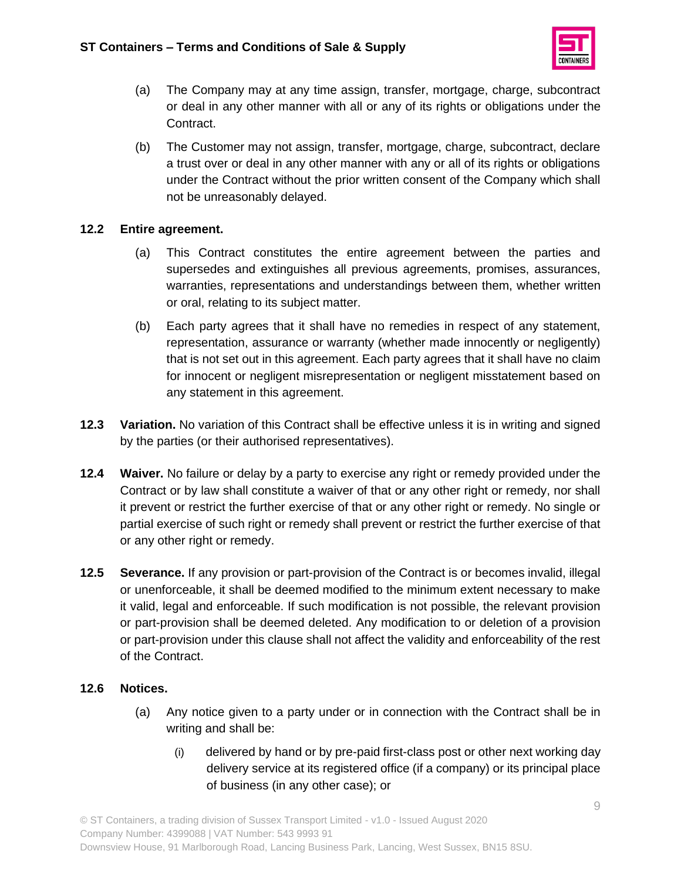

- (a) The Company may at any time assign, transfer, mortgage, charge, subcontract or deal in any other manner with all or any of its rights or obligations under the Contract.
- (b) The Customer may not assign, transfer, mortgage, charge, subcontract, declare a trust over or deal in any other manner with any or all of its rights or obligations under the Contract without the prior written consent of the Company which shall not be unreasonably delayed.

# **12.2 Entire agreement.**

- (a) This Contract constitutes the entire agreement between the parties and supersedes and extinguishes all previous agreements, promises, assurances, warranties, representations and understandings between them, whether written or oral, relating to its subject matter.
- (b) Each party agrees that it shall have no remedies in respect of any statement, representation, assurance or warranty (whether made innocently or negligently) that is not set out in this agreement. Each party agrees that it shall have no claim for innocent or negligent misrepresentation or negligent misstatement based on any statement in this agreement.
- <span id="page-8-0"></span>**12.3 Variation.** No variation of this Contract shall be effective unless it is in writing and signed by the parties (or their authorised representatives).
- **12.4 Waiver.** No failure or delay by a party to exercise any right or remedy provided under the Contract or by law shall constitute a waiver of that or any other right or remedy, nor shall it prevent or restrict the further exercise of that or any other right or remedy. No single or partial exercise of such right or remedy shall prevent or restrict the further exercise of that or any other right or remedy.
- **12.5 Severance.** If any provision or part-provision of the Contract is or becomes invalid, illegal or unenforceable, it shall be deemed modified to the minimum extent necessary to make it valid, legal and enforceable. If such modification is not possible, the relevant provision or part-provision shall be deemed deleted. Any modification to or deletion of a provision or part-provision under this clause shall not affect the validity and enforceability of the rest of the Contract.

### **12.6 Notices.**

- (a) Any notice given to a party under or in connection with the Contract shall be in writing and shall be:
	- (i) delivered by hand or by pre-paid first-class post or other next working day delivery service at its registered office (if a company) or its principal place of business (in any other case); or